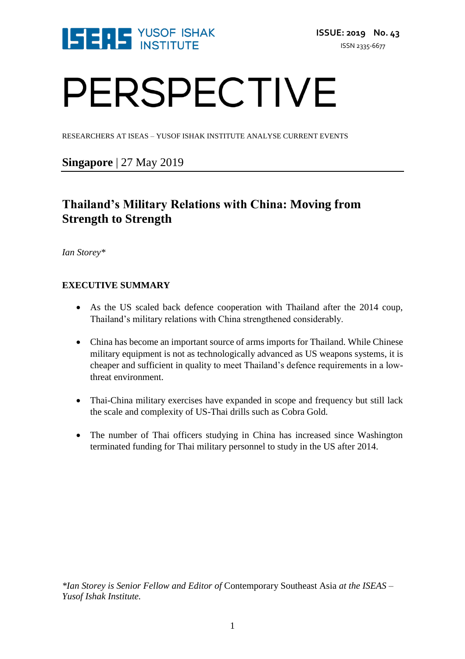

# PERSPECTIVE

RESEARCHERS AT ISEAS – YUSOF ISHAK INSTITUTE ANALYSE CURRENT EVENTS

# **Singapore** | 27 May 2019

# **Thailand's Military Relations with China: Moving from Strength to Strength**

*Ian Storey\**

# **EXECUTIVE SUMMARY**

- As the US scaled back defence cooperation with Thailand after the 2014 coup, Thailand's military relations with China strengthened considerably.
- China has become an important source of arms imports for Thailand. While Chinese military equipment is not as technologically advanced as US weapons systems, it is cheaper and sufficient in quality to meet Thailand's defence requirements in a lowthreat environment.
- Thai-China military exercises have expanded in scope and frequency but still lack the scale and complexity of US-Thai drills such as Cobra Gold.
- The number of Thai officers studying in China has increased since Washington terminated funding for Thai military personnel to study in the US after 2014.

*\*Ian Storey is Senior Fellow and Editor of* Contemporary Southeast Asia *at the ISEAS – Yusof Ishak Institute.*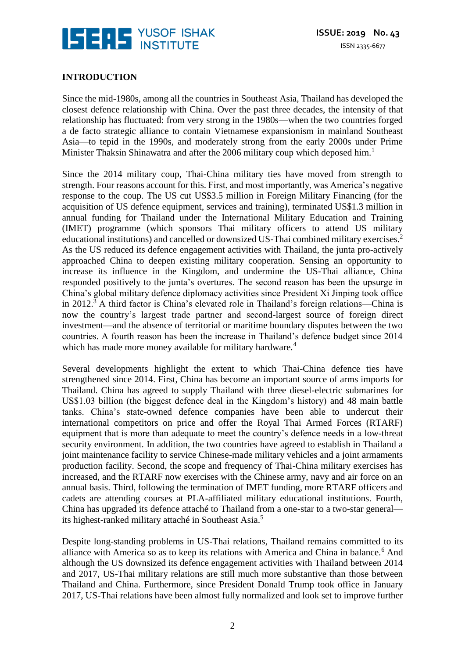

# **INTRODUCTION**

Since the mid-1980s, among all the countries in Southeast Asia, Thailand has developed the closest defence relationship with China. Over the past three decades, the intensity of that relationship has fluctuated: from very strong in the 1980s—when the two countries forged a de facto strategic alliance to contain Vietnamese expansionism in mainland Southeast Asia—to tepid in the 1990s, and moderately strong from the early 2000s under Prime Minister Thaksin Shinawatra and after the 2006 military coup which deposed him.<sup>1</sup>

Since the 2014 military coup, Thai-China military ties have moved from strength to strength. Four reasons account for this. First, and most importantly, was America's negative response to the coup. The US cut US\$3.5 million in Foreign Military Financing (for the acquisition of US defence equipment, services and training), terminated US\$1.3 million in annual funding for Thailand under the International Military Education and Training (IMET) programme (which sponsors Thai military officers to attend US military educational institutions) and cancelled or downsized US-Thai combined military exercises.<sup>2</sup> As the US reduced its defence engagement activities with Thailand, the junta pro-actively approached China to deepen existing military cooperation. Sensing an opportunity to increase its influence in the Kingdom, and undermine the US-Thai alliance, China responded positively to the junta's overtures. The second reason has been the upsurge in China's global military defence diplomacy activities since President Xi Jinping took office in 2012.<sup>3</sup> A third factor is China's elevated role in Thailand's foreign relations—China is now the country's largest trade partner and second-largest source of foreign direct investment—and the absence of territorial or maritime boundary disputes between the two countries. A fourth reason has been the increase in Thailand's defence budget since 2014 which has made more money available for military hardware.<sup>4</sup>

Several developments highlight the extent to which Thai-China defence ties have strengthened since 2014. First, China has become an important source of arms imports for Thailand. China has agreed to supply Thailand with three diesel-electric submarines for US\$1.03 billion (the biggest defence deal in the Kingdom's history) and 48 main battle tanks. China's state-owned defence companies have been able to undercut their international competitors on price and offer the Royal Thai Armed Forces (RTARF) equipment that is more than adequate to meet the country's defence needs in a low-threat security environment. In addition, the two countries have agreed to establish in Thailand a joint maintenance facility to service Chinese-made military vehicles and a joint armaments production facility. Second, the scope and frequency of Thai-China military exercises has increased, and the RTARF now exercises with the Chinese army, navy and air force on an annual basis. Third, following the termination of IMET funding, more RTARF officers and cadets are attending courses at PLA-affiliated military educational institutions. Fourth, China has upgraded its defence attaché to Thailand from a one-star to a two-star general its highest-ranked military attaché in Southeast Asia.<sup>5</sup>

Despite long-standing problems in US-Thai relations, Thailand remains committed to its alliance with America so as to keep its relations with America and China in balance.<sup>6</sup> And although the US downsized its defence engagement activities with Thailand between 2014 and 2017, US-Thai military relations are still much more substantive than those between Thailand and China. Furthermore, since President Donald Trump took office in January 2017, US-Thai relations have been almost fully normalized and look set to improve further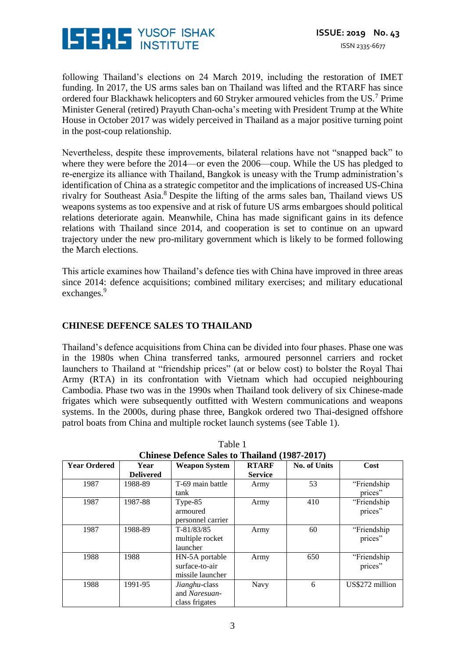

following Thailand's elections on 24 March 2019, including the restoration of IMET funding. In 2017, the US arms sales ban on Thailand was lifted and the RTARF has since ordered four Blackhawk helicopters and 60 Stryker armoured vehicles from the US.<sup>7</sup> Prime Minister General (retired) Prayuth Chan-ocha's meeting with President Trump at the White House in October 2017 was widely perceived in Thailand as a major positive turning point in the post-coup relationship.

Nevertheless, despite these improvements, bilateral relations have not "snapped back" to where they were before the 2014—or even the 2006—coup. While the US has pledged to re-energize its alliance with Thailand, Bangkok is uneasy with the Trump administration's identification of China as a strategic competitor and the implications of increased US-China rivalry for Southeast Asia.<sup>8</sup> Despite the lifting of the arms sales ban, Thailand views US weapons systems as too expensive and at risk of future US arms embargoes should political relations deteriorate again. Meanwhile, China has made significant gains in its defence relations with Thailand since 2014, and cooperation is set to continue on an upward trajectory under the new pro-military government which is likely to be formed following the March elections.

This article examines how Thailand's defence ties with China have improved in three areas since 2014: defence acquisitions; combined military exercises; and military educational exchanges.<sup>9</sup>

# **CHINESE DEFENCE SALES TO THAILAND**

Thailand's defence acquisitions from China can be divided into four phases. Phase one was in the 1980s when China transferred tanks, armoured personnel carriers and rocket launchers to Thailand at "friendship prices" (at or below cost) to bolster the Royal Thai Army (RTA) in its confrontation with Vietnam which had occupied neighbouring Cambodia. Phase two was in the 1990s when Thailand took delivery of six Chinese-made frigates which were subsequently outfitted with Western communications and weapons systems. In the 2000s, during phase three, Bangkok ordered two Thai-designed offshore patrol boats from China and multiple rocket launch systems (see Table 1).

| Cliffiese Defence Safes to Thanand (1987-2017) |                          |                                                      |                                |                     |                         |
|------------------------------------------------|--------------------------|------------------------------------------------------|--------------------------------|---------------------|-------------------------|
| <b>Year Ordered</b>                            | Year<br><b>Delivered</b> | <b>Weapon System</b>                                 | <b>RTARF</b><br><b>Service</b> | <b>No. of Units</b> | Cost                    |
| 1987                                           | 1988-89                  | T-69 main battle<br>tank                             | Army                           | 53                  | "Friendship"<br>prices" |
| 1987                                           | 1987-88                  | Type-85<br>armoured<br>personnel carrier             | Army                           | 410                 | "Friendship<br>prices"  |
| 1987                                           | 1988-89                  | $T-81/83/85$<br>multiple rocket<br>launcher          | Army                           | 60                  | "Friendship<br>prices"  |
| 1988                                           | 1988                     | HN-5A portable<br>surface-to-air<br>missile launcher | Army                           | 650                 | "Friendship"<br>prices" |
| 1988                                           | 1991-95                  | Jianghu-class<br>and Naresuan-<br>class frigates     | Navy                           | 6                   | US\$272 million         |

Table 1 **Chinese Defence Sales to Thailand (1987-2017)**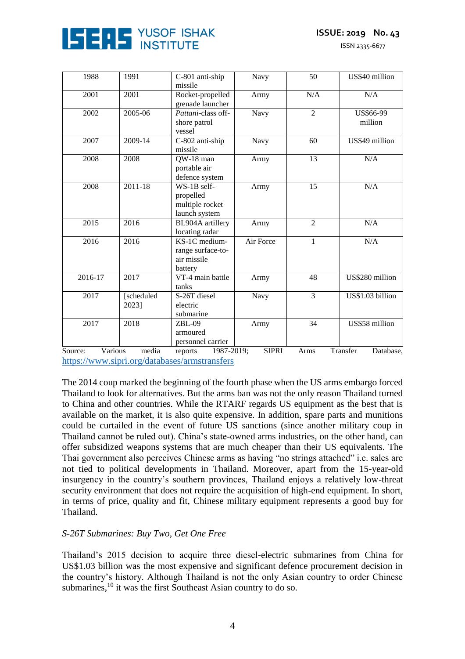

ISSN 2335-6677

| 1988    | 1991                | C-801 anti-ship<br>missile                                   | Navy         | 50             | US\$40 million        |
|---------|---------------------|--------------------------------------------------------------|--------------|----------------|-----------------------|
| 2001    | 2001                | Rocket-propelled<br>grenade launcher                         | Army         | N/A            | N/A                   |
| 2002    | 2005-06             | Pattani-class off-<br>shore patrol<br>vessel                 | Navy         | $\overline{2}$ | US\$66-99<br>million  |
| 2007    | 2009-14             | C-802 anti-ship<br>missile                                   | Navy         |                | US\$49 million        |
| 2008    | 2008                | 13<br>QW-18 man<br>Army<br>portable air<br>defence system    |              |                | N/A                   |
| 2008    | 2011-18             | WS-1B self-<br>propelled<br>multiple rocket<br>launch system | 15<br>Army   |                | N/A                   |
| 2015    | 2016                | BL904A artillery<br>locating radar                           | Army         | $\overline{2}$ | N/A                   |
| 2016    | 2016                | KS-1C medium-<br>range surface-to-<br>air missile<br>battery | Air Force    | $\mathbf{1}$   | $\rm N/A$             |
| 2016-17 | 2017                | VT-4 main battle<br>tanks                                    | Army         | 48             | US\$280 million       |
| 2017    | [scheduled<br>2023] | S-26T diesel<br>electric<br>submarine                        | Navy         | 3              | US\$1.03 billion      |
| 2017    | 2018                | $ZBL-09$<br>armoured<br>personnel carrier                    | Army         | 34             | US\$58 million        |
| Source: | Various<br>media    | 1987-2019;<br>reports                                        | <b>SIPRI</b> | Arms           | Transfer<br>Database, |

<https://www.sipri.org/databases/armstransfers>

The 2014 coup marked the beginning of the fourth phase when the US arms embargo forced Thailand to look for alternatives. But the arms ban was not the only reason Thailand turned to China and other countries. While the RTARF regards US equipment as the best that is available on the market, it is also quite expensive. In addition, spare parts and munitions could be curtailed in the event of future US sanctions (since another military coup in Thailand cannot be ruled out). China's state-owned arms industries, on the other hand, can offer subsidized weapons systems that are much cheaper than their US equivalents. The Thai government also perceives Chinese arms as having "no strings attached" i.e. sales are not tied to political developments in Thailand. Moreover, apart from the 15-year-old insurgency in the country's southern provinces, Thailand enjoys a relatively low-threat security environment that does not require the acquisition of high-end equipment. In short, in terms of price, quality and fit, Chinese military equipment represents a good buy for Thailand.

#### *S-26T Submarines: Buy Two, Get One Free*

Thailand's 2015 decision to acquire three diesel-electric submarines from China for US\$1.03 billion was the most expensive and significant defence procurement decision in the country's history. Although Thailand is not the only Asian country to order Chinese submarines, $^{10}$  it was the first Southeast Asian country to do so.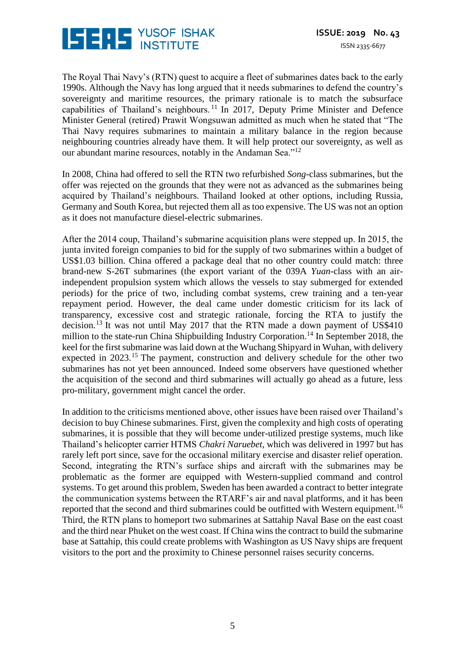

The Royal Thai Navy's (RTN) quest to acquire a fleet of submarines dates back to the early 1990s. Although the Navy has long argued that it needs submarines to defend the country's sovereignty and maritime resources, the primary rationale is to match the subsurface capabilities of Thailand's neighbours. <sup>11</sup> In 2017, Deputy Prime Minister and Defence Minister General (retired) Prawit Wongsuwan admitted as much when he stated that "The Thai Navy requires submarines to maintain a military balance in the region because neighbouring countries already have them. It will help protect our sovereignty, as well as our abundant marine resources, notably in the Andaman Sea."<sup>12</sup>

In 2008, China had offered to sell the RTN two refurbished *Song*-class submarines, but the offer was rejected on the grounds that they were not as advanced as the submarines being acquired by Thailand's neighbours. Thailand looked at other options, including Russia, Germany and South Korea, but rejected them all as too expensive. The US was not an option as it does not manufacture diesel-electric submarines.

After the 2014 coup, Thailand's submarine acquisition plans were stepped up. In 2015, the junta invited foreign companies to bid for the supply of two submarines within a budget of US\$1.03 billion. China offered a package deal that no other country could match: three brand-new S-26T submarines (the export variant of the 039A *Yuan*-class with an airindependent propulsion system which allows the vessels to stay submerged for extended periods) for the price of two, including combat systems, crew training and a ten-year repayment period. However, the deal came under domestic criticism for its lack of transparency, excessive cost and strategic rationale, forcing the RTA to justify the decision.<sup>13</sup> It was not until May 2017 that the RTN made a down payment of US\$410 million to the state-run China Shipbuilding Industry Corporation.<sup>14</sup> In September 2018, the keel for the first submarine was laid down at the Wuchang Shipyard in Wuhan, with delivery expected in 2023.<sup>15</sup> The payment, construction and delivery schedule for the other two submarines has not yet been announced. Indeed some observers have questioned whether the acquisition of the second and third submarines will actually go ahead as a future, less pro-military, government might cancel the order.

In addition to the criticisms mentioned above, other issues have been raised over Thailand's decision to buy Chinese submarines. First, given the complexity and high costs of operating submarines, it is possible that they will become under-utilized prestige systems, much like Thailand's helicopter carrier HTMS *Chakri Naruebet*, which was delivered in 1997 but has rarely left port since, save for the occasional military exercise and disaster relief operation. Second, integrating the RTN's surface ships and aircraft with the submarines may be problematic as the former are equipped with Western-supplied command and control systems. To get around this problem, Sweden has been awarded a contract to better integrate the communication systems between the RTARF's air and naval platforms, and it has been reported that the second and third submarines could be outfitted with Western equipment.<sup>16</sup> Third, the RTN plans to homeport two submarines at Sattahip Naval Base on the east coast and the third near Phuket on the west coast. If China wins the contract to build the submarine base at Sattahip, this could create problems with Washington as US Navy ships are frequent visitors to the port and the proximity to Chinese personnel raises security concerns.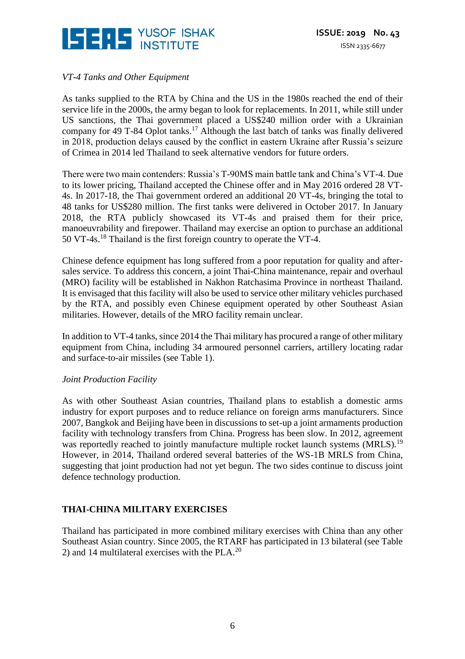

# *VT-4 Tanks and Other Equipment*

As tanks supplied to the RTA by China and the US in the 1980s reached the end of their service life in the 2000s, the army began to look for replacements. In 2011, while still under US sanctions, the Thai government placed a US\$240 million order with a Ukrainian company for 49 T-84 Oplot tanks.<sup>17</sup> Although the last batch of tanks was finally delivered in 2018, production delays caused by the conflict in eastern Ukraine after Russia's seizure of Crimea in 2014 led Thailand to seek alternative vendors for future orders.

There were two main contenders: Russia's T-90MS main battle tank and China's VT-4. Due to its lower pricing, Thailand accepted the Chinese offer and in May 2016 ordered 28 VT-4s. In 2017-18, the Thai government ordered an additional 20 VT-4s, bringing the total to 48 tanks for US\$280 million. The first tanks were delivered in October 2017. In January 2018, the RTA publicly showcased its VT-4s and praised them for their price, manoeuvrability and firepower. Thailand may exercise an option to purchase an additional 50 VT-4s.<sup>18</sup> Thailand is the first foreign country to operate the VT-4.

Chinese defence equipment has long suffered from a poor reputation for quality and aftersales service. To address this concern, a joint Thai-China maintenance, repair and overhaul (MRO) facility will be established in Nakhon Ratchasima Province in northeast Thailand. It is envisaged that this facility will also be used to service other military vehicles purchased by the RTA, and possibly even Chinese equipment operated by other Southeast Asian militaries. However, details of the MRO facility remain unclear.

In addition to VT-4 tanks, since 2014 the Thai military has procured a range of other military equipment from China, including 34 armoured personnel carriers, artillery locating radar and surface-to-air missiles (see Table 1).

#### *Joint Production Facility*

As with other Southeast Asian countries, Thailand plans to establish a domestic arms industry for export purposes and to reduce reliance on foreign arms manufacturers. Since 2007, Bangkok and Beijing have been in discussions to set-up a joint armaments production facility with technology transfers from China. Progress has been slow. In 2012, agreement was reportedly reached to jointly manufacture multiple rocket launch systems (MRLS).<sup>19</sup> However, in 2014, Thailand ordered several batteries of the WS-1B MRLS from China, suggesting that joint production had not yet begun. The two sides continue to discuss joint defence technology production.

# **THAI-CHINA MILITARY EXERCISES**

Thailand has participated in more combined military exercises with China than any other Southeast Asian country. Since 2005, the RTARF has participated in 13 bilateral (see Table 2) and 14 multilateral exercises with the PLA. $^{20}$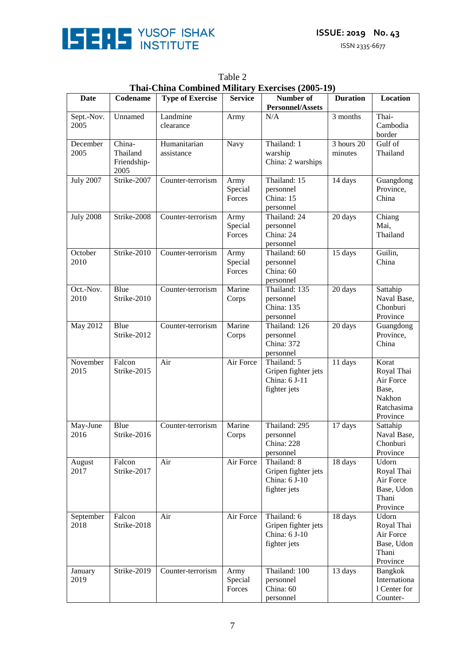

ISSN 2335-6677

| <b>Date</b>        | Codename                                  | <b>Type of Exercise</b>    | <b>Service</b>            | Number of                                                           | <b>Duration</b>       | <b>Location</b>                                                               |
|--------------------|-------------------------------------------|----------------------------|---------------------------|---------------------------------------------------------------------|-----------------------|-------------------------------------------------------------------------------|
|                    |                                           | Landmine                   |                           | <b>Personnel/Assets</b><br>N/A                                      | 3 months              | Thai-                                                                         |
| Sept.-Nov.<br>2005 | Unnamed                                   | clearance                  | Army                      |                                                                     |                       | Cambodia<br>border                                                            |
| December<br>2005   | China-<br>Thailand<br>Friendship-<br>2005 | Humanitarian<br>assistance | Navy                      | Thailand: 1<br>warship<br>China: 2 warships                         | 3 hours 20<br>minutes | Gulf of<br>Thailand                                                           |
| <b>July 2007</b>   | Strike-2007                               | Counter-terrorism          | Army<br>Special<br>Forces | Thailand: 15<br>personnel<br>China: 15<br>personnel                 | 14 days               | Guangdong<br>Province,<br>China                                               |
| <b>July 2008</b>   | Strike-2008                               | Counter-terrorism          | Army<br>Special<br>Forces | Thailand: 24<br>personnel<br>China: 24<br>personnel                 | 20 days               | Chiang<br>Mai,<br>Thailand                                                    |
| October<br>2010    | Strike-2010                               | Counter-terrorism          | Army<br>Special<br>Forces | Thailand: 60<br>personnel<br>China: 60<br>personnel                 | 15 days               | Guilin,<br>China                                                              |
| Oct.-Nov.<br>2010  | Blue<br>Strike-2010                       | Counter-terrorism          | Marine<br>Corps           | Thailand: 135<br>personnel<br>China: 135<br>personnel               | 20 days               | Sattahip<br>Naval Base,<br>Chonburi<br>Province                               |
| May 2012           | Blue<br>Strike-2012                       | Counter-terrorism          | Marine<br>Corps           | Thailand: 126<br>personnel<br>China: 372<br>personnel               | 20 days               | Guangdong<br>Province,<br>China                                               |
| November<br>2015   | Falcon<br>Strike-2015                     | Air                        | Air Force                 | Thailand: 5<br>Gripen fighter jets<br>China: 6 J-11<br>fighter jets | 11 days               | Korat<br>Royal Thai<br>Air Force<br>Base,<br>Nakhon<br>Ratchasima<br>Province |
| May-June<br>2016   | Blue<br>Strike-2016                       | Counter-terrorism          | Marine<br>Corps           | Thailand: 295<br>personnel<br>China: 228<br>personnel               | 17 days               | Sattahip<br>Naval Base,<br>Chonburi<br>Province                               |
| August<br>2017     | Falcon<br>Strike-2017                     | Air                        | Air Force                 | Thailand: 8<br>Gripen fighter jets<br>China: 6 J-10<br>fighter jets | 18 days               | Udorn<br>Royal Thai<br>Air Force<br>Base, Udon<br>Thani<br>Province           |
| September<br>2018  | Falcon<br>Strike-2018                     | Air                        | Air Force                 | Thailand: 6<br>Gripen fighter jets<br>China: 6 J-10<br>fighter jets | 18 days               | Udorn<br>Royal Thai<br>Air Force<br>Base, Udon<br>Thani<br>Province           |
| January<br>2019    | Strike-2019                               | Counter-terrorism          | Army<br>Special<br>Forces | Thailand: 100<br>personnel<br>China: 60<br>personnel                | 13 days               | Bangkok<br>Internationa<br>1 Center for<br>Counter-                           |

Table 2 **Thai-China Combined Military Exercises (2005-19)**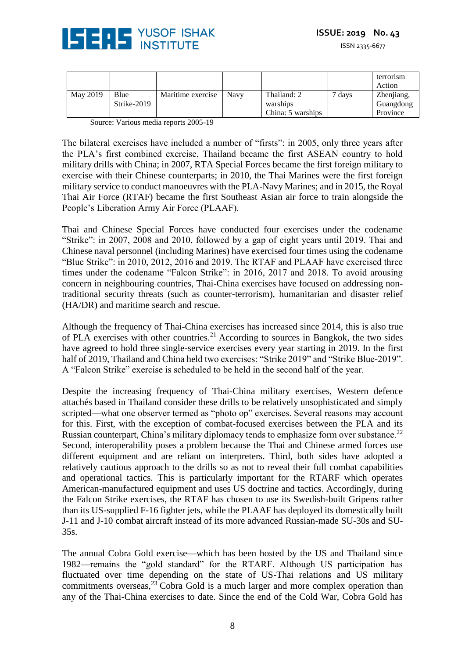

|          |             |                   |             |                   |      | terrorism<br>Action |
|----------|-------------|-------------------|-------------|-------------------|------|---------------------|
| May 2019 | Blue        | Maritime exercise | <b>Navy</b> | Thailand: 2       | davs | Zhenjiang,          |
|          | Strike-2019 |                   |             | warships          |      | Guangdong           |
|          |             |                   |             | China: 5 warships |      | Province            |

Source: Various media reports 2005-19

The bilateral exercises have included a number of "firsts": in 2005, only three years after the PLA's first combined exercise, Thailand became the first ASEAN country to hold military drills with China; in 2007, RTA Special Forces became the first foreign military to exercise with their Chinese counterparts; in 2010, the Thai Marines were the first foreign military service to conduct manoeuvres with the PLA-Navy Marines; and in 2015, the Royal Thai Air Force (RTAF) became the first Southeast Asian air force to train alongside the People's Liberation Army Air Force (PLAAF).

Thai and Chinese Special Forces have conducted four exercises under the codename "Strike": in 2007, 2008 and 2010, followed by a gap of eight years until 2019. Thai and Chinese naval personnel (including Marines) have exercised four times using the codename "Blue Strike": in 2010, 2012, 2016 and 2019. The RTAF and PLAAF have exercised three times under the codename "Falcon Strike": in 2016, 2017 and 2018. To avoid arousing concern in neighbouring countries, Thai-China exercises have focused on addressing nontraditional security threats (such as counter-terrorism), humanitarian and disaster relief (HA/DR) and maritime search and rescue.

Although the frequency of Thai-China exercises has increased since 2014, this is also true of PLA exercises with other countries.<sup>21</sup> According to sources in Bangkok, the two sides have agreed to hold three single-service exercises every year starting in 2019. In the first half of 2019, Thailand and China held two exercises: "Strike 2019" and "Strike Blue-2019". A "Falcon Strike" exercise is scheduled to be held in the second half of the year.

Despite the increasing frequency of Thai-China military exercises, Western defence attachés based in Thailand consider these drills to be relatively unsophisticated and simply scripted—what one observer termed as "photo op" exercises. Several reasons may account for this. First, with the exception of combat-focused exercises between the PLA and its Russian counterpart, China's military diplomacy tends to emphasize form over substance.<sup>22</sup> Second, interoperability poses a problem because the Thai and Chinese armed forces use different equipment and are reliant on interpreters. Third, both sides have adopted a relatively cautious approach to the drills so as not to reveal their full combat capabilities and operational tactics. This is particularly important for the RTARF which operates American-manufactured equipment and uses US doctrine and tactics. Accordingly, during the Falcon Strike exercises, the RTAF has chosen to use its Swedish-built Gripens rather than its US-supplied F-16 fighter jets, while the PLAAF has deployed its domestically built J-11 and J-10 combat aircraft instead of its more advanced Russian-made SU-30s and SU-35s.

The annual Cobra Gold exercise—which has been hosted by the US and Thailand since 1982—remains the "gold standard" for the RTARF. Although US participation has fluctuated over time depending on the state of US-Thai relations and US military commitments overseas, $^{23}$  Cobra Gold is a much larger and more complex operation than any of the Thai-China exercises to date. Since the end of the Cold War, Cobra Gold has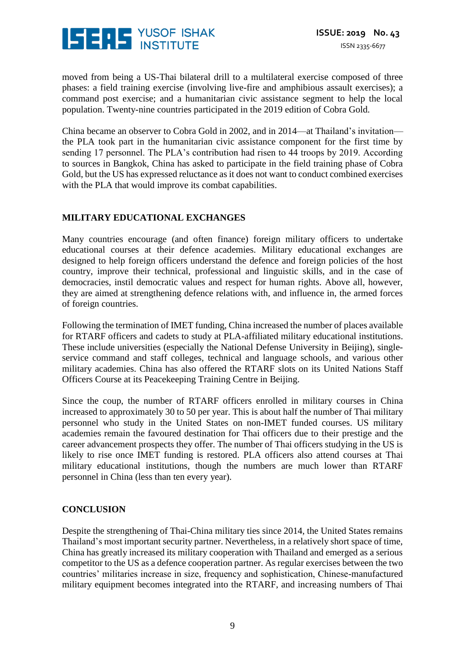

moved from being a US-Thai bilateral drill to a multilateral exercise composed of three phases: a field training exercise (involving live-fire and amphibious assault exercises); a command post exercise; and a humanitarian civic assistance segment to help the local population. Twenty-nine countries participated in the 2019 edition of Cobra Gold.

China became an observer to Cobra Gold in 2002, and in 2014—at Thailand's invitation the PLA took part in the humanitarian civic assistance component for the first time by sending 17 personnel. The PLA's contribution had risen to 44 troops by 2019. According to sources in Bangkok, China has asked to participate in the field training phase of Cobra Gold, but the US has expressed reluctance as it does not want to conduct combined exercises with the PLA that would improve its combat capabilities.

# **MILITARY EDUCATIONAL EXCHANGES**

Many countries encourage (and often finance) foreign military officers to undertake educational courses at their defence academies. Military educational exchanges are designed to help foreign officers understand the defence and foreign policies of the host country, improve their technical, professional and linguistic skills, and in the case of democracies, instil democratic values and respect for human rights. Above all, however, they are aimed at strengthening defence relations with, and influence in, the armed forces of foreign countries.

Following the termination of IMET funding, China increased the number of places available for RTARF officers and cadets to study at PLA-affiliated military educational institutions. These include universities (especially the National Defense University in Beijing), singleservice command and staff colleges, technical and language schools, and various other military academies. China has also offered the RTARF slots on its United Nations Staff Officers Course at its Peacekeeping Training Centre in Beijing.

Since the coup, the number of RTARF officers enrolled in military courses in China increased to approximately 30 to 50 per year. This is about half the number of Thai military personnel who study in the United States on non-IMET funded courses. US military academies remain the favoured destination for Thai officers due to their prestige and the career advancement prospects they offer. The number of Thai officers studying in the US is likely to rise once IMET funding is restored. PLA officers also attend courses at Thai military educational institutions, though the numbers are much lower than RTARF personnel in China (less than ten every year).

# **CONCLUSION**

Despite the strengthening of Thai-China military ties since 2014, the United States remains Thailand's most important security partner. Nevertheless, in a relatively short space of time, China has greatly increased its military cooperation with Thailand and emerged as a serious competitor to the US as a defence cooperation partner. As regular exercises between the two countries' militaries increase in size, frequency and sophistication, Chinese-manufactured military equipment becomes integrated into the RTARF, and increasing numbers of Thai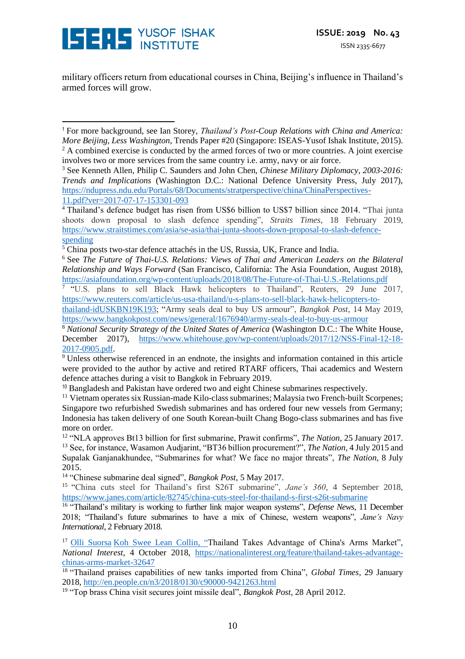

military officers return from educational courses in China, Beijing's influence in Thailand's armed forces will grow.

<sup>6</sup> See *The Future of Thai-U.S. Relations: Views of Thai and American Leaders on the Bilateral Relationship and Ways Forward* (San Francisco, California: The Asia Foundation, August 2018), <https://asiafoundation.org/wp-content/uploads/2018/08/The-Future-of-Thai-U.S.-Relations.pdf>

<sup>7</sup> "U.S. plans to sell Black Hawk helicopters to Thailand", Reuters, 29 June 2017, [https://www.reuters.com/article/us-usa-thailand/u-s-plans-to-sell-black-hawk-helicopters-to-](https://www.reuters.com/article/us-usa-thailand/u-s-plans-to-sell-black-hawk-helicopters-to-thailand-idUSKBN19K193)

[thailand-idUSKBN19K193;](https://www.reuters.com/article/us-usa-thailand/u-s-plans-to-sell-black-hawk-helicopters-to-thailand-idUSKBN19K193) "Army seals deal to buy US armour", *Bangkok Post*, 14 May 2019, <https://www.bangkokpost.com/news/general/1676940/army-seals-deal-to-buy-us-armour>

<sup>8</sup> *National Security Strategy of the United States of America* (Washington D.C.: The White House, December 2017), [https://www.whitehouse.gov/wp-content/uploads/2017/12/NSS-Final-12-18-](https://www.whitehouse.gov/wp-content/uploads/2017/12/NSS-Final-12-18-2017-0905.pdf) [2017-0905.pdf.](https://www.whitehouse.gov/wp-content/uploads/2017/12/NSS-Final-12-18-2017-0905.pdf)

<sup>9</sup> Unless otherwise referenced in an endnote, the insights and information contained in this article were provided to the author by active and retired RTARF officers, Thai academics and Western defence attaches during a visit to Bangkok in February 2019.

<sup>10</sup> Bangladesh and Pakistan have ordered two and eight Chinese submarines respectively.

<sup>14</sup> "Chinese submarine deal signed", *Bangkok Post*, 5 May 2017.

<sup>15</sup> "China cuts steel for Thailand's first S26T submarine", *Jane's 360*, 4 September 2018, <https://www.janes.com/article/82745/china-cuts-steel-for-thailand-s-first-s26t-submarine>

<sup>16</sup> "Thailand's military is working to further link major weapon systems", Defense News, 11 December 2018; "Thailand's future submarines to have a mix of Chinese, western weapons", *Jane's Navy International*, 2 February 2018.

<sup>17</sup> [Olli Suorsa](https://nationalinterest.org/profile/olli-suorsa) [Koh Swee Lean Collin,](https://nationalinterest.org/profile/koh-swee-lean-collin) "Thailand Takes Advantage of China's Arms Market", *National Interest*, 4 October 2018, [https://nationalinterest.org/feature/thailand-takes-advantage](https://nationalinterest.org/feature/thailand-takes-advantage-chinas-arms-market-32647)[chinas-arms-market-32647](https://nationalinterest.org/feature/thailand-takes-advantage-chinas-arms-market-32647)

<sup>18</sup> "Thailand praises capabilities of new tanks imported from China", *Global Times*, 29 January 2018,<http://en.people.cn/n3/2018/0130/c90000-9421263.html>

<sup>19</sup> "Top brass China visit secures joint missile deal", *Bangkok Post*, 28 April 2012.

<sup>1</sup> For more background, see Ian Storey, *Thailand's Post-Coup Relations with China and America: More Beijing, Less Washington*, Trends Paper #20 (Singapore: ISEAS-Yusof Ishak Institute, 2015). <sup>2</sup> A combined exercise is conducted by the armed forces of two or more countries. A joint exercise involves two or more services from the same country i.e. army, navy or air force. -

<sup>3</sup> See Kenneth Allen, Philip C. Saunders and John Chen, *Chinese Military Diplomacy, 2003-2016: Trends and Implications* (Washington D.C.: National Defence University Press, July 2017), [https://ndupress.ndu.edu/Portals/68/Documents/stratperspective/china/ChinaPerspectives-](https://ndupress.ndu.edu/Portals/68/Documents/stratperspective/china/ChinaPerspectives-11.pdf?ver=2017-07-17-153301-093)[11.pdf?ver=2017-07-17-153301-093](https://ndupress.ndu.edu/Portals/68/Documents/stratperspective/china/ChinaPerspectives-11.pdf?ver=2017-07-17-153301-093)

<sup>&</sup>lt;sup>4</sup> Thailand's defence budget has risen from US\$6 billion to US\$7 billion since 2014. "Thai junta shoots down proposal to slash defence spending", *Straits Times*, 18 February 2019, [https://www.straitstimes.com/asia/se-asia/thai-junta-shoots-down-proposal-to-slash-defence](https://www.straitstimes.com/asia/se-asia/thai-junta-shoots-down-proposal-to-slash-defence-spending)[spending](https://www.straitstimes.com/asia/se-asia/thai-junta-shoots-down-proposal-to-slash-defence-spending)

<sup>&</sup>lt;sup>5</sup> China posts two-star defence attachés in the US, Russia, UK, France and India.

<sup>&</sup>lt;sup>11</sup> Vietnam operates six Russian-made Kilo-class submarines; Malaysia two French-built Scorpenes; Singapore two refurbished Swedish submarines and has ordered four new vessels from Germany; Indonesia has taken delivery of one South Korean-built Chang Bogo-class submarines and has five more on order.

<sup>12</sup> "NLA approves Bt13 billion for first submarine, Prawit confirms", *The Nation*, 25 January 2017. <sup>13</sup> See, for instance, Wasamon Audjarint, "BT36 billion procurement?", *The Nation,* 4 July 2015 and Supalak Ganjanakhundee, "Submarines for what? We face no major threats", *The Nation*, 8 July 2015.